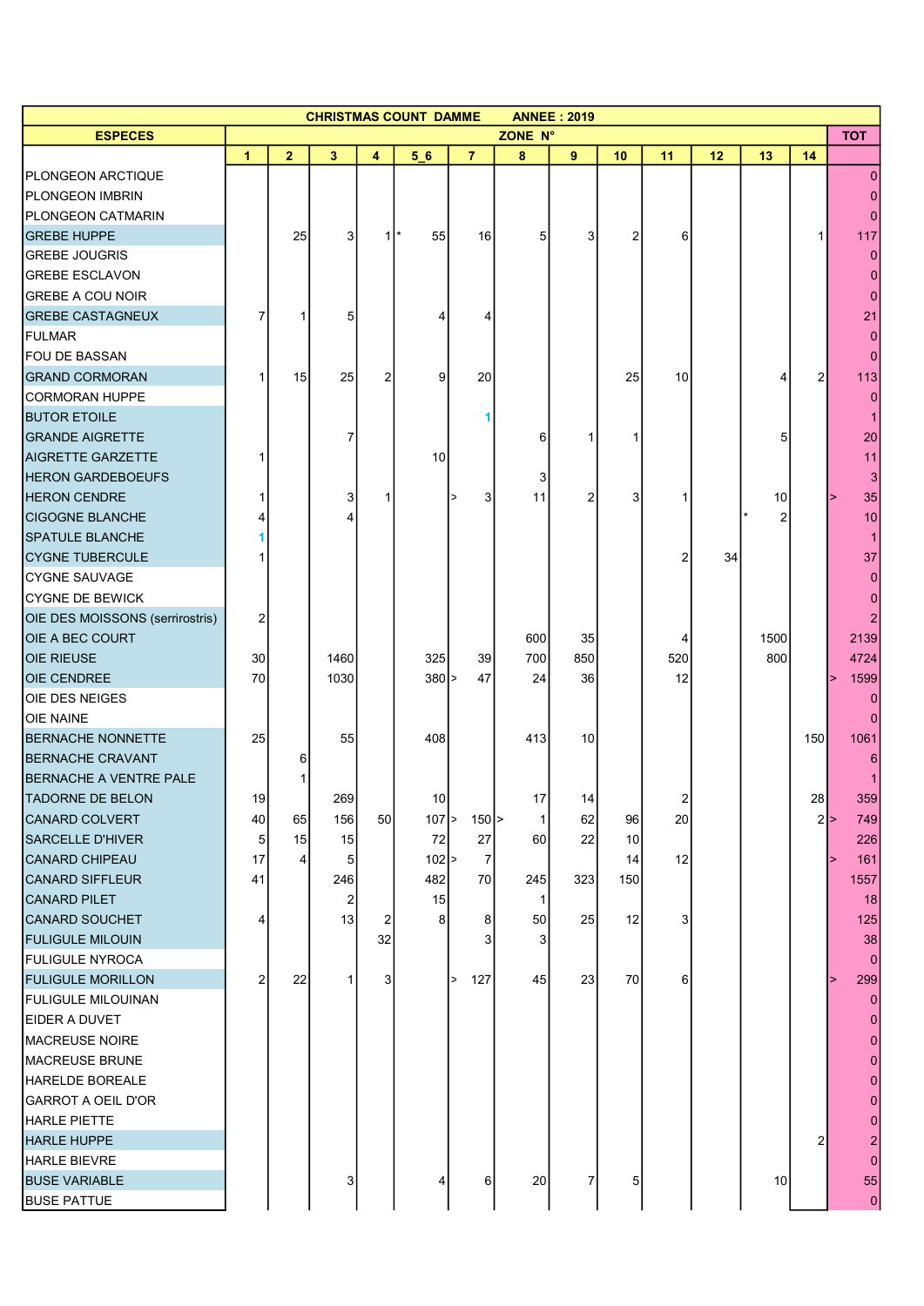| <b>CHRISTMAS COUNT DAMME</b><br><b>ANNEE: 2019</b> |                |                 |              |               |                 |                |                |                 |                 |                |    |      |                |                |
|----------------------------------------------------|----------------|-----------------|--------------|---------------|-----------------|----------------|----------------|-----------------|-----------------|----------------|----|------|----------------|----------------|
| <b>ESPECES</b>                                     |                |                 |              |               |                 |                | ZONE N°        |                 |                 |                |    |      |                | <b>TOT</b>     |
|                                                    | $\mathbf{1}$   | $\overline{2}$  | 3            | 4             | 56              | $\overline{7}$ | 8              | 9               | 10              | 11             | 12 | 13   | 14             |                |
| PLONGEON ARCTIQUE                                  |                |                 |              |               |                 |                |                |                 |                 |                |    |      |                | 0              |
| PLONGEON IMBRIN                                    |                |                 |              |               |                 |                |                |                 |                 |                |    |      |                |                |
| <b>PLONGEON CATMARIN</b>                           |                |                 |              |               |                 |                |                |                 |                 |                |    |      |                | $\Omega$       |
| <b>GREBE HUPPE</b>                                 |                | 25              | 3            | $\rightarrow$ | 55              | 16             | 5              | 3               | 2               | 6              |    |      | 1              | 117            |
| <b>GREBE JOUGRIS</b>                               |                |                 |              |               |                 |                |                |                 |                 |                |    |      |                |                |
| <b>GREBE ESCLAVON</b>                              |                |                 |              |               |                 |                |                |                 |                 |                |    |      |                |                |
| <b>GREBE A COU NOIR</b>                            |                |                 |              |               |                 |                |                |                 |                 |                |    |      |                | $\Omega$       |
| <b>GREBE CASTAGNEUX</b>                            | 7              | 1               | 5            |               | 4               |                |                |                 |                 |                |    |      |                | 21             |
| <b>FULMAR</b>                                      |                |                 |              |               |                 |                |                |                 |                 |                |    |      |                | 0              |
| <b>FOU DE BASSAN</b>                               |                |                 |              |               |                 |                |                |                 |                 |                |    |      |                | 0              |
| <b>GRAND CORMORAN</b>                              |                | 15              | 25           | 2             | 9               | 20             |                |                 | 25              | 10             |    | 4    | 2              | 113            |
| CORMORAN HUPPE                                     |                |                 |              |               |                 |                |                |                 |                 |                |    |      |                |                |
| <b>BUTOR ETOILE</b>                                |                |                 |              |               |                 |                |                |                 |                 |                |    |      |                |                |
| <b>GRANDE AIGRETTE</b>                             |                |                 | 7            |               |                 |                | 6              |                 |                 |                |    | 5    |                | 20             |
| <b>AIGRETTE GARZETTE</b>                           |                |                 |              |               | 10              |                |                |                 |                 |                |    |      |                | 11             |
| <b>HERON GARDEBOEUFS</b>                           |                |                 |              |               |                 |                | 3              |                 |                 |                |    |      |                | 3              |
| <b>HERON CENDRE</b>                                |                |                 | 3            | -1            |                 | 3              | 11             | 2               | 3               | 1              |    | 10   |                | 35             |
| <b>CIGOGNE BLANCHE</b>                             |                |                 | 4            |               |                 |                |                |                 |                 |                |    | 2    |                | 10             |
| <b>SPATULE BLANCHE</b>                             |                |                 |              |               |                 |                |                |                 |                 |                |    |      |                |                |
| <b>CYGNE TUBERCULE</b>                             |                |                 |              |               |                 |                |                |                 |                 | 2              | 34 |      |                | 37             |
| <b>CYGNE SAUVAGE</b>                               |                |                 |              |               |                 |                |                |                 |                 |                |    |      |                |                |
| CYGNE DE BEWICK                                    |                |                 |              |               |                 |                |                |                 |                 |                |    |      |                |                |
| OIE DES MOISSONS (serrirostris)                    | 2              |                 |              |               |                 |                |                |                 |                 |                |    |      |                |                |
| <b>OIE A BEC COURT</b>                             |                |                 |              |               |                 |                | 600            | 35              |                 | 4              |    | 1500 |                | 2139           |
| <b>OIE RIEUSE</b>                                  | 30             |                 | 1460         |               | 325             | 39             | 700            | 850             |                 | 520            |    | 800  |                | 4724           |
| <b>OIE CENDREE</b>                                 | 70             |                 | 1030         |               | $380$ >         | 47             | 24             | 36              |                 | 12             |    |      |                | 1599           |
| OIE DES NEIGES                                     |                |                 |              |               |                 |                |                |                 |                 |                |    |      |                |                |
| <b>OIE NAINE</b>                                   |                |                 |              |               |                 |                |                |                 |                 |                |    |      |                |                |
| <b>BERNACHE NONNETTE</b>                           | 25             |                 | 55           |               | 408             |                | 413            | 10 <sup>1</sup> |                 |                |    |      | 150            | 1061           |
| <b>BERNACHE CRAVANT</b>                            |                | 6               |              |               |                 |                |                |                 |                 |                |    |      |                |                |
| <b>BERNACHE A VENTRE PALE</b>                      |                |                 |              |               |                 |                |                |                 |                 |                |    |      |                |                |
| <b>TADORNE DE BELON</b>                            | 19             |                 | 269          |               | 10 <sup>1</sup> |                | 17             | 14              |                 | $\overline{2}$ |    |      | 28             | 359            |
| <b>CANARD COLVERT</b>                              | 40             | 65              | 156          | 50            | $107$ >         | $150$ $>$      | 1              | 62              | 96              | 20             |    |      |                | $2 \ge$<br>749 |
| <b>SARCELLE D'HIVER</b>                            | 5              | 15              | 15           |               | 72              | 27             | 60             | 22              | 10 <sup>1</sup> |                |    |      |                | 226            |
| CANARD CHIPEAU                                     | 17             | $\vert 4 \vert$ | 5            |               | $102$ >         | $\overline{7}$ |                |                 | 14              | 12             |    |      |                | 161            |
| CANARD SIFFLEUR                                    | 41             |                 | 246          |               | 482             | 70             | 245            | 323             | 150             |                |    |      |                | 1557           |
| <b>CANARD PILET</b>                                |                |                 | 2            |               | 15              |                | 1              |                 |                 |                |    |      |                | 18             |
| <b>CANARD SOUCHET</b>                              | 4              |                 | 13           | 2             | 8 <sup>1</sup>  | 8              | 50             | 25              | 12              | 3              |    |      |                | 125            |
| <b>FULIGULE MILOUIN</b>                            |                |                 |              | 32            |                 | 3              | 3 <sup>1</sup> |                 |                 |                |    |      |                | 38             |
| <b>FULIGULE NYROCA</b>                             |                |                 |              |               |                 |                |                |                 |                 |                |    |      |                |                |
| <b>FULIGULE MORILLON</b>                           | $\overline{2}$ | 22              | $\mathbf{1}$ | 3             |                 | 127<br>$\geq$  | 45             | 23              | 70              | 6 <sup>1</sup> |    |      |                | 0<br>299       |
|                                                    |                |                 |              |               |                 |                |                |                 |                 |                |    |      |                | $\Omega$       |
| <b>FULIGULE MILOUINAN</b>                          |                |                 |              |               |                 |                |                |                 |                 |                |    |      |                |                |
| EIDER A DUVET                                      |                |                 |              |               |                 |                |                |                 |                 |                |    |      |                |                |
| <b>MACREUSE NOIRE</b>                              |                |                 |              |               |                 |                |                |                 |                 |                |    |      |                |                |
| <b>MACREUSE BRUNE</b>                              |                |                 |              |               |                 |                |                |                 |                 |                |    |      |                | 0              |
| HARELDE BOREALE                                    |                |                 |              |               |                 |                |                |                 |                 |                |    |      |                |                |
| <b>GARROT A OEIL D'OR</b>                          |                |                 |              |               |                 |                |                |                 |                 |                |    |      |                | 0              |
| <b>HARLE PIETTE</b>                                |                |                 |              |               |                 |                |                |                 |                 |                |    |      |                | $\Omega$       |
| <b>HARLE HUPPE</b>                                 |                |                 |              |               |                 |                |                |                 |                 |                |    |      | $\overline{2}$ |                |
| <b>HARLE BIEVRE</b>                                |                |                 |              |               |                 |                |                |                 |                 |                |    |      |                | $\Omega$       |
| <b>BUSE VARIABLE</b>                               |                |                 | 3            |               | 4               | $6 \mid$       | 20             | 7               | 5               |                |    | 10   |                | 55             |
| <b>BUSE PATTUE</b>                                 |                |                 |              |               |                 |                |                |                 |                 |                |    |      |                | $\overline{0}$ |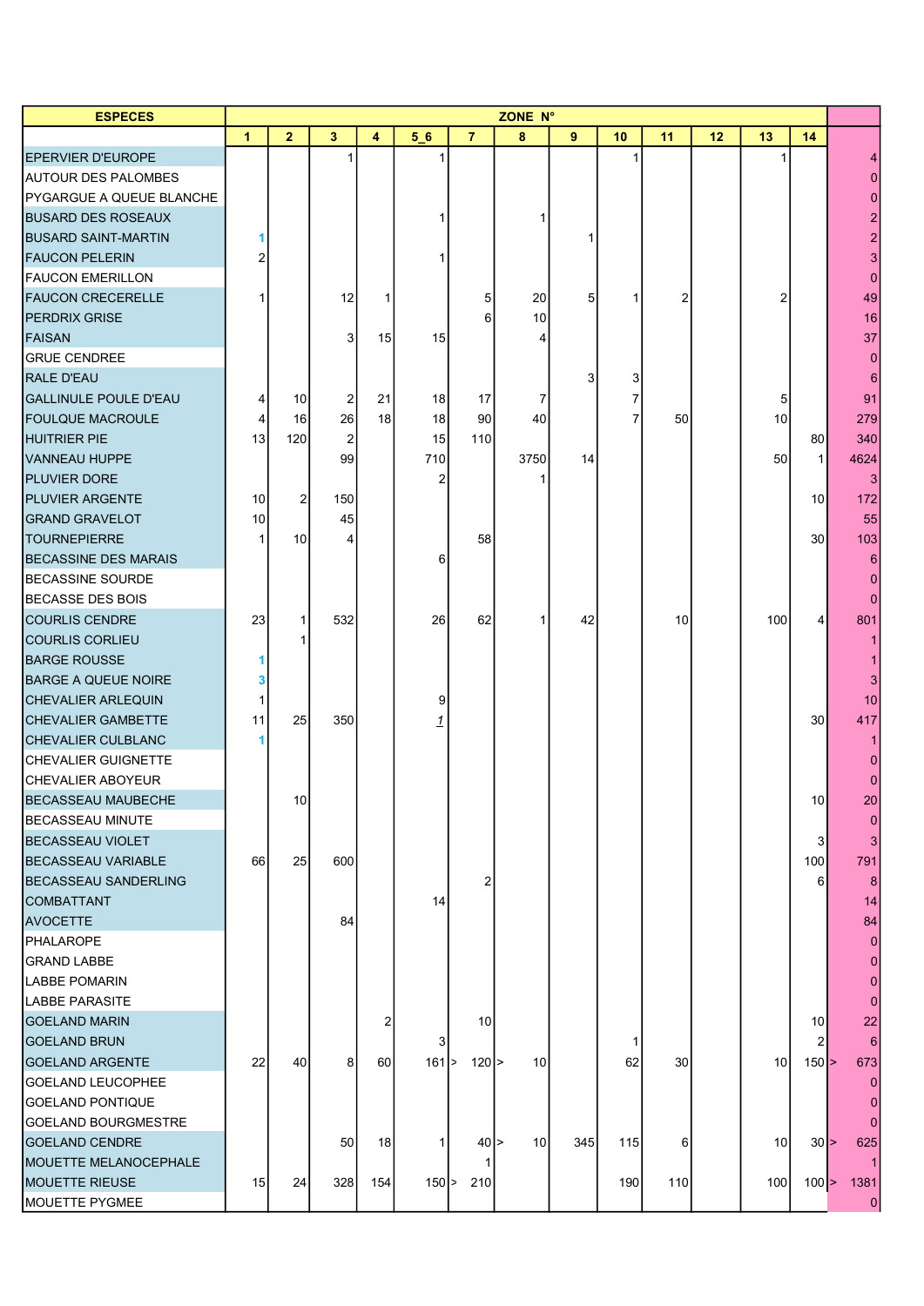| <b>ESPECES</b>                  | <b>ZONE N°</b> |              |                |                |          |                |                 |                |     |                 |    |                 |                |          |
|---------------------------------|----------------|--------------|----------------|----------------|----------|----------------|-----------------|----------------|-----|-----------------|----|-----------------|----------------|----------|
|                                 | 1              | $\mathbf{2}$ | $\mathbf{3}$   | 4              | 56       | $\overline{7}$ | 8               | 9              | 10  | 11              | 12 | 13              | 14             |          |
| EPERVIER D'EUROPE               |                |              | $\mathbf{1}$   |                |          |                |                 |                |     |                 |    |                 |                |          |
| <b>AUTOUR DES PALOMBES</b>      |                |              |                |                |          |                |                 |                |     |                 |    |                 |                |          |
| <b>PYGARGUE A QUEUE BLANCHE</b> |                |              |                |                |          |                |                 |                |     |                 |    |                 |                |          |
| <b>BUSARD DES ROSEAUX</b>       |                |              |                |                |          |                |                 |                |     |                 |    |                 |                |          |
| <b>BUSARD SAINT-MARTIN</b>      |                |              |                |                |          |                |                 |                |     |                 |    |                 |                |          |
| <b>FAUCON PELERIN</b>           |                |              |                |                |          |                |                 |                |     |                 |    |                 |                | 3        |
| <b>FAUCON EMERILLON</b>         |                |              |                |                |          |                |                 |                |     |                 |    |                 |                | $\Omega$ |
| <b>FAUCON CRECERELLE</b>        |                |              | 12             | 1              |          | 5              | 20              | 5 <sup>1</sup> |     | 2               |    | 2               |                | 49       |
| <b>PERDRIX GRISE</b>            |                |              |                |                |          | 6              | 10              |                |     |                 |    |                 |                | 16       |
| <b>FAISAN</b>                   |                |              | 3              | 15             | 15       |                | 4               |                |     |                 |    |                 |                | 37       |
| <b>GRUE CENDREE</b>             |                |              |                |                |          |                |                 |                |     |                 |    |                 |                |          |
| <b>RALE D'EAU</b>               |                |              |                |                |          |                |                 | 3              | 3   |                 |    |                 |                |          |
| <b>GALLINULE POULE D'EAU</b>    | 4              | 10           | $\overline{a}$ | 21             | 18       | 17             | 7               |                | 7   |                 |    | 5               |                | 91       |
| <b>FOULQUE MACROULE</b>         | 4              | 16           | 26             | 18             | 18       | 90             | 40              |                | 7   | 50 <sub>0</sub> |    | 10              |                | 279      |
| HUITRIER PIE                    | 13             | 120          | $\overline{2}$ |                | 15       | 110            |                 |                |     |                 |    |                 | 80             | 340      |
| VANNEAU HUPPE                   |                |              | 99             |                | 710      |                | 3750            | 14             |     |                 |    | 50              | $\mathbf{1}$   | 4624     |
| <b>PLUVIER DORE</b>             |                |              |                |                | 2        |                |                 |                |     |                 |    |                 |                | 3        |
| <b>PLUVIER ARGENTE</b>          | 10             |              | 150            |                |          |                |                 |                |     |                 |    |                 | 10             | 172      |
| <b>GRAND GRAVELOT</b>           |                | $\mathbf{2}$ |                |                |          |                |                 |                |     |                 |    |                 |                |          |
| <b>TOURNEPIERRE</b>             | 10             | 10           | 45             |                |          |                |                 |                |     |                 |    |                 | 30             | 55       |
|                                 |                |              | 4              |                |          | 58             |                 |                |     |                 |    |                 |                | 103      |
| <b>BECASSINE DES MARAIS</b>     |                |              |                |                | 6        |                |                 |                |     |                 |    |                 |                | 6        |
| <b>BECASSINE SOURDE</b>         |                |              |                |                |          |                |                 |                |     |                 |    |                 |                |          |
| <b>BECASSE DES BOIS</b>         |                |              |                |                |          |                |                 |                |     |                 |    |                 |                | $\Omega$ |
| <b>COURLIS CENDRE</b>           | 23             | 1            | 532            |                | 26       | 62             |                 | 42             |     | 10 <sup>1</sup> |    | 100             | 4              | 801      |
| <b>COURLIS CORLIEU</b>          |                |              |                |                |          |                |                 |                |     |                 |    |                 |                |          |
| <b>BARGE ROUSSE</b>             |                |              |                |                |          |                |                 |                |     |                 |    |                 |                |          |
| <b>BARGE A QUEUE NOIRE</b>      | з              |              |                |                |          |                |                 |                |     |                 |    |                 |                |          |
| <b>CHEVALIER ARLEQUIN</b>       |                |              |                |                | 9        |                |                 |                |     |                 |    |                 |                | 10       |
| CHEVALIER GAMBETTE              | 11             | 25           | 350            |                |          |                |                 |                |     |                 |    |                 | 30             | 417      |
| CHEVALIER CULBLANC              |                |              |                |                |          |                |                 |                |     |                 |    |                 |                |          |
| CHEVALIER GUIGNETTE             |                |              |                |                |          |                |                 |                |     |                 |    |                 |                |          |
| <b>CHEVALIER ABOYEUR</b>        |                |              |                |                |          |                |                 |                |     |                 |    |                 |                |          |
| <b>BECASSEAU MAUBECHE</b>       |                | 10           |                |                |          |                |                 |                |     |                 |    |                 | 10             | 20       |
| BECASSEAU MINUTE                |                |              |                |                |          |                |                 |                |     |                 |    |                 |                |          |
| BECASSEAU VIOLET                |                |              |                |                |          |                |                 |                |     |                 |    |                 | 3              |          |
| <b>BECASSEAU VARIABLE</b>       | 66             | 25           | 600            |                |          |                |                 |                |     |                 |    |                 | 100            | 791      |
| <b>BECASSEAU SANDERLING</b>     |                |              |                |                |          | 2              |                 |                |     |                 |    |                 | 6              |          |
| <b>COMBATTANT</b>               |                |              |                |                | 14       |                |                 |                |     |                 |    |                 |                | 14       |
| <b>AVOCETTE</b>                 |                |              | 84             |                |          |                |                 |                |     |                 |    |                 |                | 84       |
| PHALAROPE                       |                |              |                |                |          |                |                 |                |     |                 |    |                 |                |          |
| <b>GRAND LABBE</b>              |                |              |                |                |          |                |                 |                |     |                 |    |                 |                | 0        |
| <b>LABBE POMARIN</b>            |                |              |                |                |          |                |                 |                |     |                 |    |                 |                |          |
| <b>LABBE PARASITE</b>           |                |              |                |                |          |                |                 |                |     |                 |    |                 |                |          |
| <b>GOELAND MARIN</b>            |                |              |                | $\overline{2}$ |          | 10             |                 |                |     |                 |    |                 | 10             | 22       |
| <b>GOELAND BRUN</b>             |                |              |                |                | 3        |                |                 |                |     |                 |    |                 | $\overline{2}$ |          |
| <b>GOELAND ARGENTE</b>          | 22             | 40           | 8 <sup>1</sup> | 60             | $161$ >  | $120$  >       | 10 <sup>1</sup> |                | 62  | 30 <sub>l</sub> |    | 10 <sup>1</sup> | $150$ $>$      | 673      |
| GOELAND LEUCOPHEE               |                |              |                |                |          |                |                 |                |     |                 |    |                 |                |          |
| <b>GOELAND PONTIQUE</b>         |                |              |                |                |          |                |                 |                |     |                 |    |                 |                |          |
| <b>GOELAND BOURGMESTRE</b>      |                |              |                |                |          |                |                 |                |     |                 |    |                 |                |          |
| <b>GOELAND CENDRE</b>           |                |              | 50             | 18             | 1        | $40$  >        | 10              | 345            | 115 | 6 <sup>1</sup>  |    | 10              | 30 >           | 625      |
| <b>IMOUETTE MELANOCEPHALE</b>   |                |              |                |                |          |                |                 |                |     |                 |    |                 |                |          |
| <b>MOUETTE RIEUSE</b>           | 15             | 24           | 328            | 154            | $150$  > | 210            |                 |                | 190 | 110             |    | 100             | $100$ $>$      | 1381     |
| <b>MOUETTE PYGMEE</b>           |                |              |                |                |          |                |                 |                |     |                 |    |                 |                | 0        |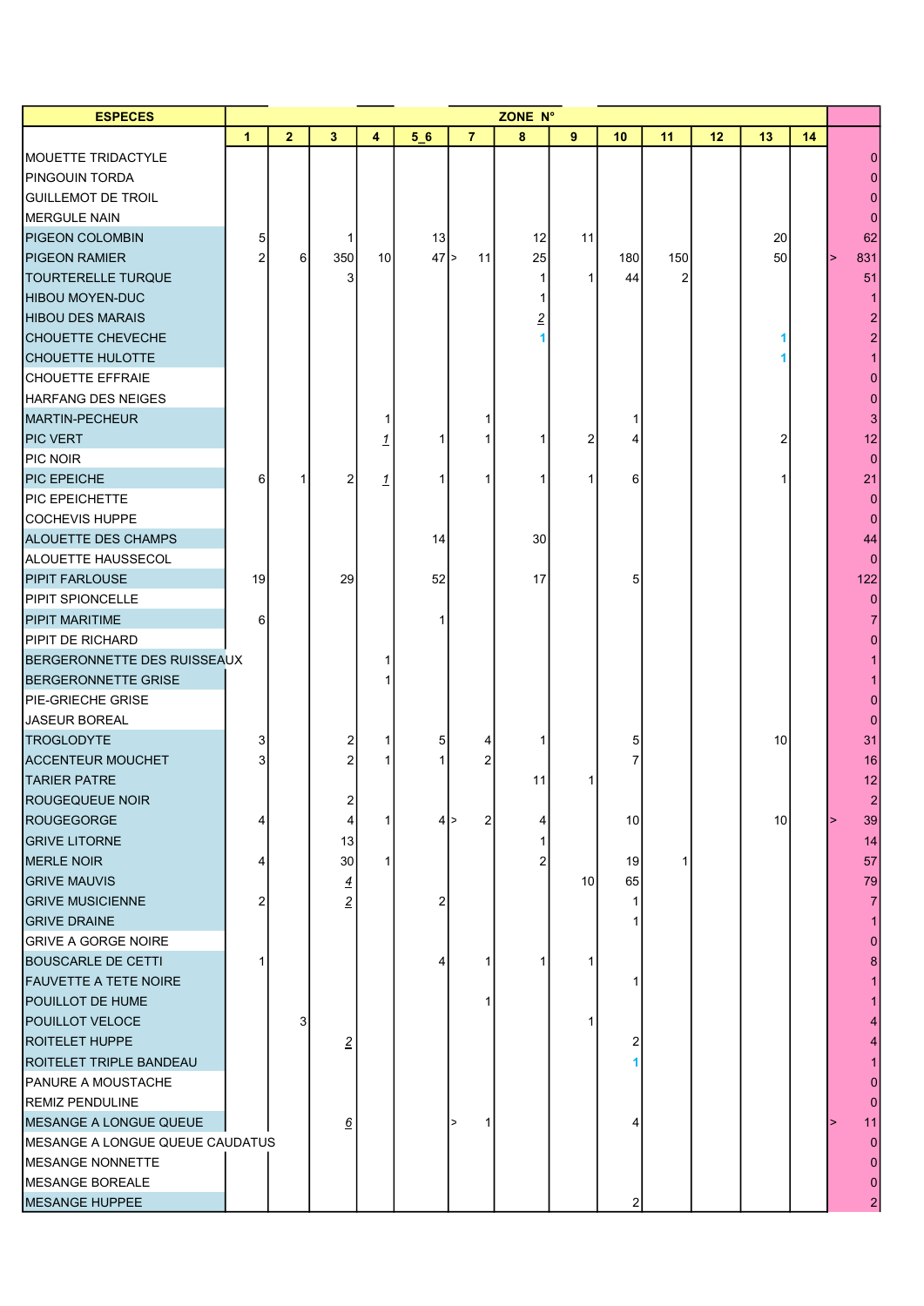| <b>ESPECES</b>                  | ZONE N°      |                |                |    |    |                |    |                 |                 |     |    |    |    |                |
|---------------------------------|--------------|----------------|----------------|----|----|----------------|----|-----------------|-----------------|-----|----|----|----|----------------|
|                                 | $\mathbf{1}$ | $\overline{2}$ | $3\phantom{a}$ | 4  | 56 | $\overline{7}$ | 8  | 9               | 10              | 11  | 12 | 13 | 14 |                |
| <b>MOUETTE TRIDACTYLE</b>       |              |                |                |    |    |                |    |                 |                 |     |    |    |    |                |
| <b>PINGOUIN TORDA</b>           |              |                |                |    |    |                |    |                 |                 |     |    |    |    |                |
| <b>GUILLEMOT DE TROIL</b>       |              |                |                |    |    |                |    |                 |                 |     |    |    |    |                |
| MERGULE NAIN                    |              |                |                |    |    |                |    |                 |                 |     |    |    |    |                |
| <b>PIGEON COLOMBIN</b>          | 5            |                | 1              |    | 13 |                | 12 | 11              |                 |     |    | 20 |    | 62             |
| <b>PIGEON RAMIER</b>            |              | $6 \,$         | 350            | 10 | 47 | 11<br>1>       | 25 |                 | 180             | 150 |    | 50 |    | 831            |
| TOURTERELLE TURQUE              |              |                | 3              |    |    |                | 1  | 1               | 44              | 2   |    |    |    | 51             |
| <b>HIBOU MOYEN-DUC</b>          |              |                |                |    |    |                |    |                 |                 |     |    |    |    |                |
| <b>HIBOU DES MARAIS</b>         |              |                |                |    |    |                |    |                 |                 |     |    |    |    |                |
| <b>CHOUETTE CHEVECHE</b>        |              |                |                |    |    |                |    |                 |                 |     |    |    |    |                |
| <b>CHOUETTE HULOTTE</b>         |              |                |                |    |    |                |    |                 |                 |     |    |    |    |                |
| <b>CHOUETTE EFFRAIE</b>         |              |                |                |    |    |                |    |                 |                 |     |    |    |    |                |
| HARFANG DES NEIGES              |              |                |                |    |    |                |    |                 |                 |     |    |    |    |                |
| MARTIN-PECHEUR                  |              |                |                |    |    |                |    |                 |                 |     |    |    |    |                |
| <b>PIC VERT</b>                 |              |                |                |    |    |                |    | 2               |                 |     |    |    |    | 12             |
| PIC NOIR                        |              |                |                |    |    |                |    |                 |                 |     |    |    |    | $\Omega$       |
| <b>PIC EPEICHE</b>              | 6            |                | $\overline{2}$ | 1  |    |                |    |                 | 6               |     |    |    |    | 21             |
| <b>PIC EPEICHETTE</b>           |              |                |                |    |    |                |    |                 |                 |     |    |    |    |                |
| COCHEVIS HUPPE                  |              |                |                |    |    |                |    |                 |                 |     |    |    |    | $\Omega$       |
| ALOUETTE DES CHAMPS             |              |                |                |    | 14 |                | 30 |                 |                 |     |    |    |    | 44             |
| ALOUETTE HAUSSECOL              |              |                |                |    |    |                |    |                 |                 |     |    |    |    |                |
| <b>PIPIT FARLOUSE</b>           | 19           |                | 29             |    | 52 |                | 17 |                 |                 |     |    |    |    | 122            |
| PIPIT SPIONCELLE                |              |                |                |    |    |                |    |                 |                 |     |    |    |    |                |
| <b>PIPIT MARITIME</b>           | 6            |                |                |    |    |                |    |                 |                 |     |    |    |    |                |
| PIPIT DE RICHARD                |              |                |                |    |    |                |    |                 |                 |     |    |    |    |                |
| BERGERONNETTE DES RUISSEAUX     |              |                |                |    |    |                |    |                 |                 |     |    |    |    |                |
| <b>BERGERONNETTE GRISE</b>      |              |                |                |    |    |                |    |                 |                 |     |    |    |    |                |
| PIE-GRIECHE GRISE               |              |                |                |    |    |                |    |                 |                 |     |    |    |    |                |
| JASEUR BOREAL                   |              |                |                |    |    |                |    |                 |                 |     |    |    |    |                |
| <b>TROGLODYTE</b>               | 3            |                | 2              |    | 5  |                |    |                 | 5               |     |    | 10 |    | 31             |
| <b>ACCENTEUR MOUCHET</b>        |              |                | 2              |    |    |                |    |                 |                 |     |    |    |    | 16             |
| <b>TARIER PATRE</b>             |              |                |                |    |    |                | 11 |                 |                 |     |    |    |    | 12             |
| ROUGEQUEUE NOIR                 |              |                | っ              |    |    |                |    |                 |                 |     |    |    |    | $\Omega$       |
| ROUGEGORGE                      |              |                | $\overline{4}$ | 1  |    | 2<br>41>       | 4  |                 | 10 <sup>1</sup> |     |    | 10 |    | 39             |
| <b>GRIVE LITORNE</b>            |              |                | 13             |    |    |                |    |                 |                 |     |    |    |    | 14             |
| <b>MERLE NOIR</b>               |              |                | 30             | 1  |    |                |    |                 | 19              |     |    |    |    | 57             |
| <b>GRIVE MAUVIS</b>             |              |                | $\overline{4}$ |    |    |                |    | 10 <sup>1</sup> | 65              |     |    |    |    | 79             |
| <b>GRIVE MUSICIENNE</b>         | 2            |                | $\overline{2}$ |    | 2  |                |    |                 |                 |     |    |    |    |                |
| <b>GRIVE DRAINE</b>             |              |                |                |    |    |                |    |                 |                 |     |    |    |    |                |
| <b>GRIVE A GORGE NOIRE</b>      |              |                |                |    |    |                |    |                 |                 |     |    |    |    |                |
| <b>BOUSCARLE DE CETTI</b>       |              |                |                |    | 4  | 1              |    |                 |                 |     |    |    |    |                |
| FAUVETTE A TETE NOIRE           |              |                |                |    |    |                |    |                 |                 |     |    |    |    |                |
| POUILLOT DE HUME                |              |                |                |    |    |                |    |                 |                 |     |    |    |    |                |
| POUILLOT VELOCE                 |              | 3              |                |    |    |                |    |                 |                 |     |    |    |    |                |
| <b>ROITELET HUPPE</b>           |              |                | $\overline{2}$ |    |    |                |    |                 |                 |     |    |    |    |                |
| ROITELET TRIPLE BANDEAU         |              |                |                |    |    |                |    |                 |                 |     |    |    |    |                |
| <b>PANURE A MOUSTACHE</b>       |              |                |                |    |    |                |    |                 |                 |     |    |    |    |                |
| <b>REMIZ PENDULINE</b>          |              |                |                |    |    |                |    |                 |                 |     |    |    |    |                |
| MESANGE A LONGUE QUEUE          |              |                | 6              |    |    |                |    |                 |                 |     |    |    |    | 11             |
| MESANGE A LONGUE QUEUE CAUDATUS |              |                |                |    |    |                |    |                 |                 |     |    |    |    | $\Omega$       |
| MESANGE NONNETTE                |              |                |                |    |    |                |    |                 |                 |     |    |    |    |                |
| MESANGE BOREALE                 |              |                |                |    |    |                |    |                 |                 |     |    |    |    |                |
| <b>MESANGE HUPPEE</b>           |              |                |                |    |    |                |    |                 | 2               |     |    |    |    | $\overline{2}$ |
|                                 |              |                |                |    |    |                |    |                 |                 |     |    |    |    |                |